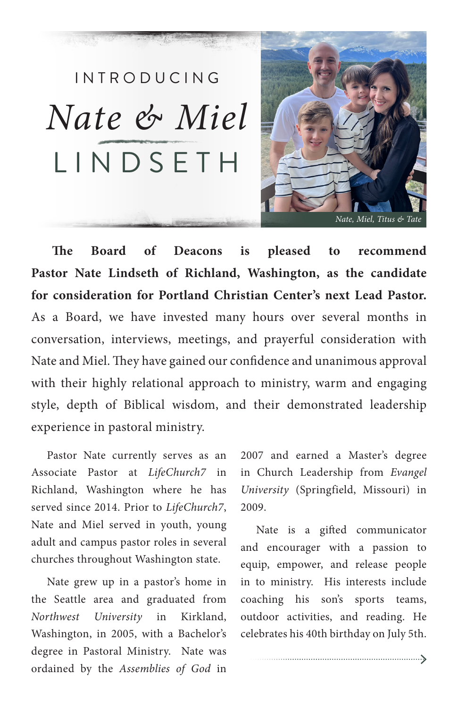

LINDSETH *Nate & Miel*

INTRODUCING

**The Board of Deacons is pleased to recommend Pastor Nate Lindseth of Richland, Washington, as the candidate for consideration for Portland Christian Center's next Lead Pastor.** As a Board, we have invested many hours over several months in conversation, interviews, meetings, and prayerful consideration with Nate and Miel. They have gained our confidence and unanimous approval with their highly relational approach to ministry, warm and engaging style, depth of Biblical wisdom, and their demonstrated leadership experience in pastoral ministry.

Pastor Nate currently serves as an Associate Pastor at *LifeChurch7* in Richland, Washington where he has served since 2014. Prior to *LifeChurch7*, Nate and Miel served in youth, young adult and campus pastor roles in several churches throughout Washington state.

Nate grew up in a pastor's home in the Seattle area and graduated from *Northwest University* in Kirkland, Washington, in 2005, with a Bachelor's degree in Pastoral Ministry. Nate was ordained by the *Assemblies of God* in

2007 and earned a Master's degree in Church Leadership from *Evangel University* (Springfield, Missouri) in 2009.

Nate is a gifted communicator and encourager with a passion to equip, empower, and release people in to ministry. His interests include coaching his son's sports teams, outdoor activities, and reading. He celebrates his 40th birthday on July 5th.